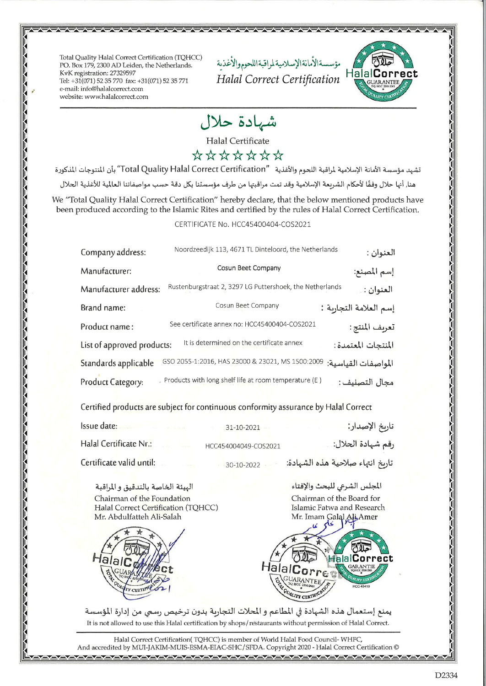Total Quality Halal Correct Certification (TQHCC) PO. Box 179, 2300 AD Leiden, the Netherlands. KvK registration: 27329597 Tel: +31(071) 52 35 770 fax: +31(071) 52 35 771 e-mail: info@halalcorrect.com website: www.halalcorrect.com

مؤسسةالأمانةالإسلاميةلمراقبةاللحوموالأغذية Halal Correct Certification



\~\~\~\~\~\~\~\

ハーカーカーカーカーカーカーカーカーカーカーカーカーカーカー

## شهادة حلال

**Halal Certificate** 

## \*\*\*\*\*\*\*

تشهد مؤسسة الأمانة الإسلامية لمراقبة اللحوم والأغذية "Total Quality Halal Correct Certification" بأن المتوجات المذكورة هنا, أنها حلال وفقًا لأحكام الشريعة الإسلامية وقد تمت مراقبتها من طرف مؤسستنا بكل دقة حسب مواصفاتنا العالمية للأغذية الحلال We "Total Quality Halal Correct Certification" hereby declare, that the below mentioned products have been produced according to the Islamic Rites and certified by the rules of Halal Correct Certification.

## CERTIFICATE No. HCC45400404-COS2021

| Company address:           | Noordzeedijk 113, 4671 TL Dinteloord, the Netherlands    | العنوان :              |
|----------------------------|----------------------------------------------------------|------------------------|
| Manufacturer:              | Cosun Beet Company                                       | إسم المصنع:            |
| Manufacturer address:      | Rustenburgstraat 2, 3297 LG Puttershoek, the Netherlands | العنوان :              |
| Brand name:                | Cosun Beet Company                                       | إسم العلامة التجاربة : |
| Product name:              | See certificate annex no: HCC45400404-COS2021            | تعريف المنتج:          |
| List of approved products: | It is determined on the certificate annex                | المنتجات المعتمدة:     |
| Standards applicable       | GSO 2055-1:2016, HAS 23000 & 23021, MS 1500:2009         | المواصفات القياسية:    |
| Product Category:          | Products with long shelf life at room temperature (E)    | مجال التصنيف :         |

Certified products are subject for continuous conformity assurance by Halal Correct

| Issue date:<br>Control of the Control of the Control | $31 - 10 - 2021$     | تاريخ الإصدار:                   |
|------------------------------------------------------|----------------------|----------------------------------|
| Halal Certificate Nr.:<br><b>CONTRACTOR</b>          | HCC454004049-COS2021 | رقم شهادة الحلال: ِ              |
| Certificate valid until:                             | 30-10-2022           | تاريخ انتهاء صلاحية هذه الشهادة: |

الهيئة الخاصة بالتدقيق و المراقبة Chairman of the Foundation Halal Correct Certification (TQHCC) Mr. Abdulfatteh Ali-Salah





talalCorr **JUARANTEE** ALITY CERTIF

المجلس الشرعى للبحث والإفتاء

يمنع إستعمال هذه الشهادة في المطاعم و المحلات التجاربة بدون ترخيص رسمي من إدارة المؤسسة It is not allowed to use this Halal certification by shops/restaurants without permission of Halal Correct.

Halal Correct Certification(TQHCC) is member of World Halal Food Council-WHFC, And accredited by MUI-JAKIM-MUIS-ESMA-EIAC-SHC/SFDA. Copyright 2020 - Halal Correct Certification @